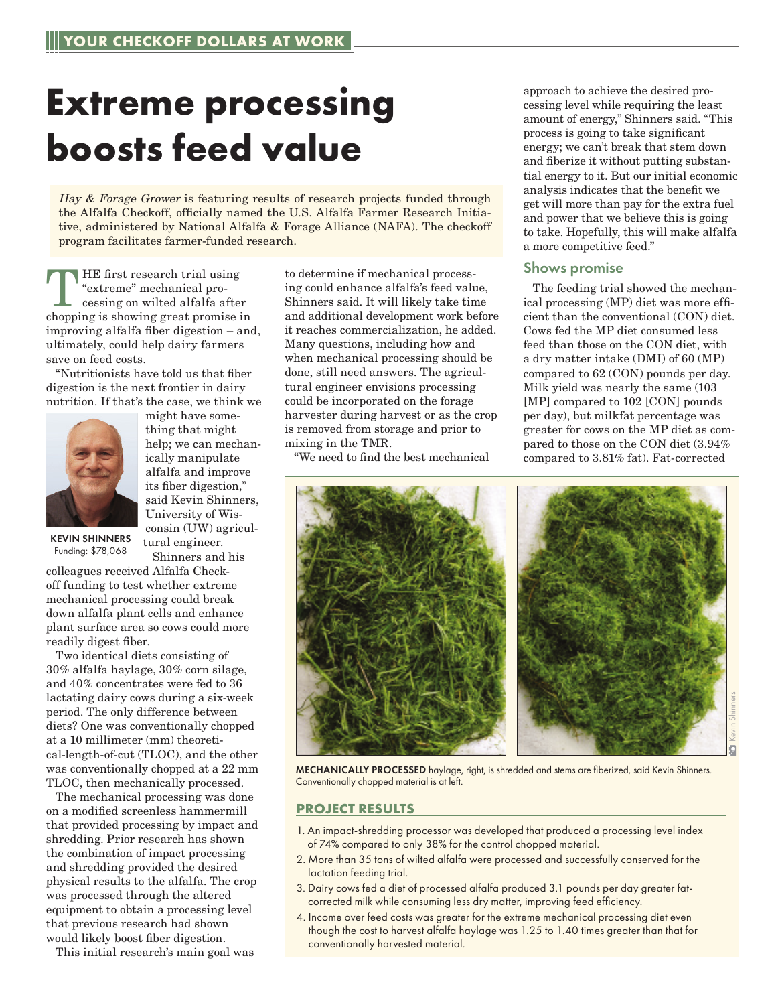## **Extreme processing boosts feed value**

Hay & Forage Grower is featuring results of research projects funded through the Alfalfa Checkoff, officially named the U.S. Alfalfa Farmer Research Initiative, administered by National Alfalfa & Forage Alliance (NAFA). The checkoff program facilitates farmer-funded research.

THE first research trial using<br>
"extreme" mechanical processing on wilted alfalfa after<br>
changing is about a graph propriate in "extreme" mechanical prochopping is showing great promise in improving alfalfa fiber digestion – and, ultimately, could help dairy farmers save on feed costs.

"Nutritionists have told us that fiber digestion is the next frontier in dairy nutrition. If that's the case, we think we



might have something that might help; we can mechanically manipulate alfalfa and improve its fiber digestion," said Kevin Shinners, University of Wisconsin (UW) agricultural engineer. Shinners and his

KEVIN SHINNERS Funding: \$78,068

colleagues received Alfalfa Checkoff funding to test whether extreme mechanical processing could break down alfalfa plant cells and enhance plant surface area so cows could more readily digest fiber.

Two identical diets consisting of 30% alfalfa haylage, 30% corn silage, and 40% concentrates were fed to 36 lactating dairy cows during a six-week period. The only difference between diets? One was conventionally chopped at a 10 millimeter (mm) theoretical-length-of-cut (TLOC), and the other was conventionally chopped at a 22 mm TLOC, then mechanically processed.

The mechanical processing was done on a modified screenless hammermill that provided processing by impact and shredding. Prior research has shown the combination of impact processing and shredding provided the desired physical results to the alfalfa. The crop was processed through the altered equipment to obtain a processing level that previous research had shown would likely boost fiber digestion.

This initial research's main goal was

to determine if mechanical processing could enhance alfalfa's feed value, Shinners said. It will likely take time and additional development work before it reaches commercialization, he added. Many questions, including how and when mechanical processing should be done, still need answers. The agricultural engineer envisions processing could be incorporated on the forage harvester during harvest or as the crop is removed from storage and prior to mixing in the TMR.

"We need to find the best mechanical

approach to achieve the desired processing level while requiring the least amount of energy," Shinners said. "This process is going to take significant energy; we can't break that stem down and fiberize it without putting substantial energy to it. But our initial economic analysis indicates that the benefit we get will more than pay for the extra fuel and power that we believe this is going to take. Hopefully, this will make alfalfa a more competitive feed."

## Shows promise

The feeding trial showed the mechanical processing (MP) diet was more efficient than the conventional (CON) diet. Cows fed the MP diet consumed less feed than those on the CON diet, with a dry matter intake (DMI) of 60 (MP) compared to 62 (CON) pounds per day. Milk yield was nearly the same (103 [MP] compared to 102 [CON] pounds per day), but milkfat percentage was greater for cows on the MP diet as compared to those on the CON diet (3.94% compared to 3.81% fat). Fat-corrected



MECHANICALLY PROCESSED haylage, right, is shredded and stems are fiberized, said Kevin Shinners. Conventionally chopped material is at left.

## **PROJECT RESULTS**

- 1. An impact-shredding processor was developed that produced a processing level index of 74% compared to only 38% for the control chopped material.
- 2. More than 35 tons of wilted alfalfa were processed and successfully conserved for the lactation feeding trial.
- 3. Dairy cows fed a diet of processed alfalfa produced 3.1 pounds per day greater fatcorrected milk while consuming less dry matter, improving feed efficiency.
- 4. Income over feed costs was greater for the extreme mechanical processing diet even though the cost to harvest alfalfa haylage was 1.25 to 1.40 times greater than that for conventionally harvested material.